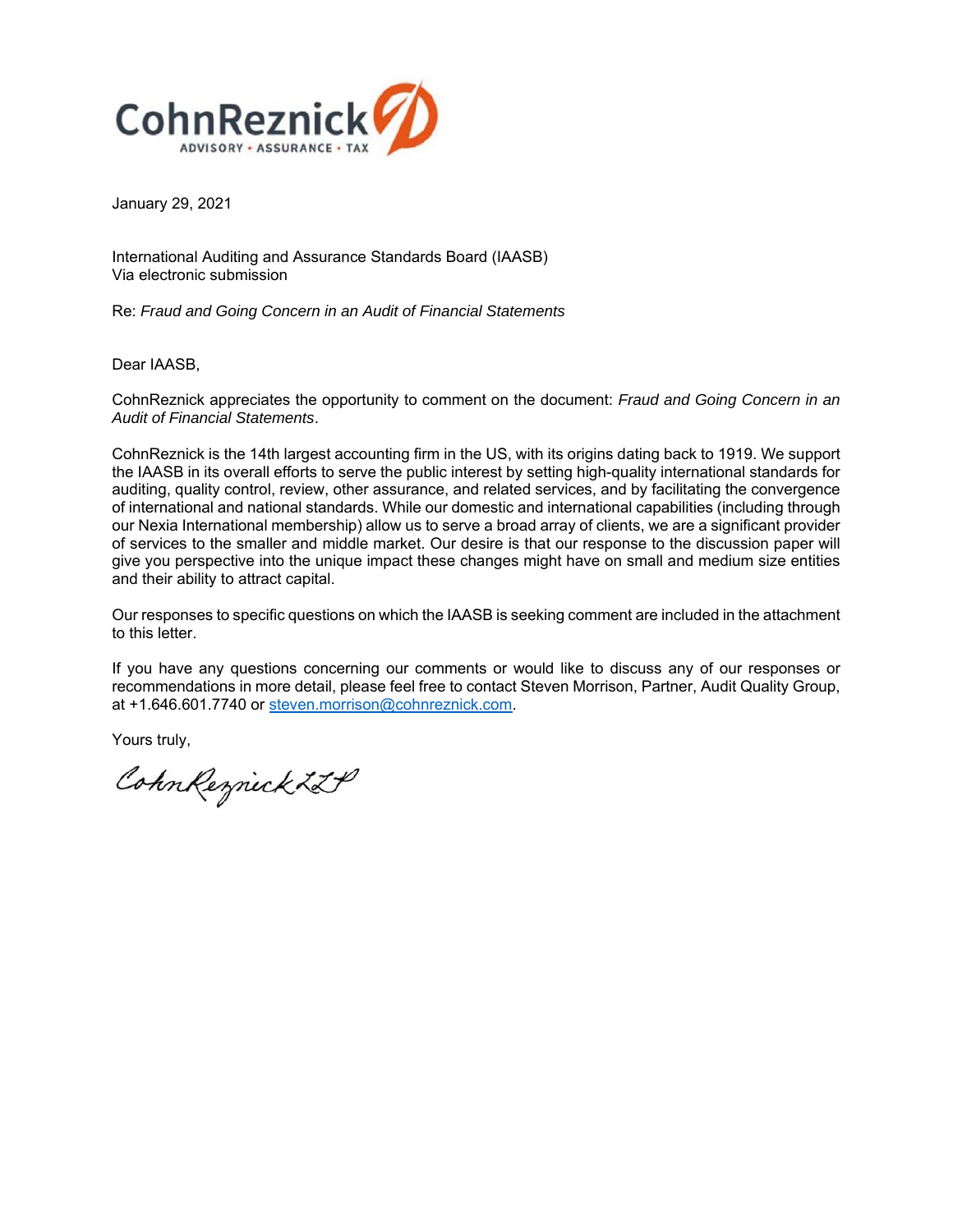

January 29, 2021

International Auditing and Assurance Standards Board (IAASB) Via electronic submission

Re: *Fraud and Going Concern in an Audit of Financial Statements* 

Dear IAASB,

CohnReznick appreciates the opportunity to comment on the document: *Fraud and Going Concern in an Audit of Financial Statements*.

CohnReznick is the 14th largest accounting firm in the US, with its origins dating back to 1919. We support the IAASB in its overall efforts to serve the public interest by setting high-quality international standards for auditing, quality control, review, other assurance, and related services, and by facilitating the convergence of international and national standards. While our domestic and international capabilities (including through our Nexia International membership) allow us to serve a broad array of clients, we are a significant provider of services to the smaller and middle market. Our desire is that our response to the discussion paper will give you perspective into the unique impact these changes might have on small and medium size entities and their ability to attract capital.

Our responses to specific questions on which the IAASB is seeking comment are included in the attachment to this letter.

If you have any questions concerning our comments or would like to discuss any of our responses or recommendations in more detail, please feel free to contact Steven Morrison, Partner, Audit Quality Group, at +1.646.601.7740 or steven.morrison@cohnreznick.com.

Yours truly,

Cohn Reznick ZZP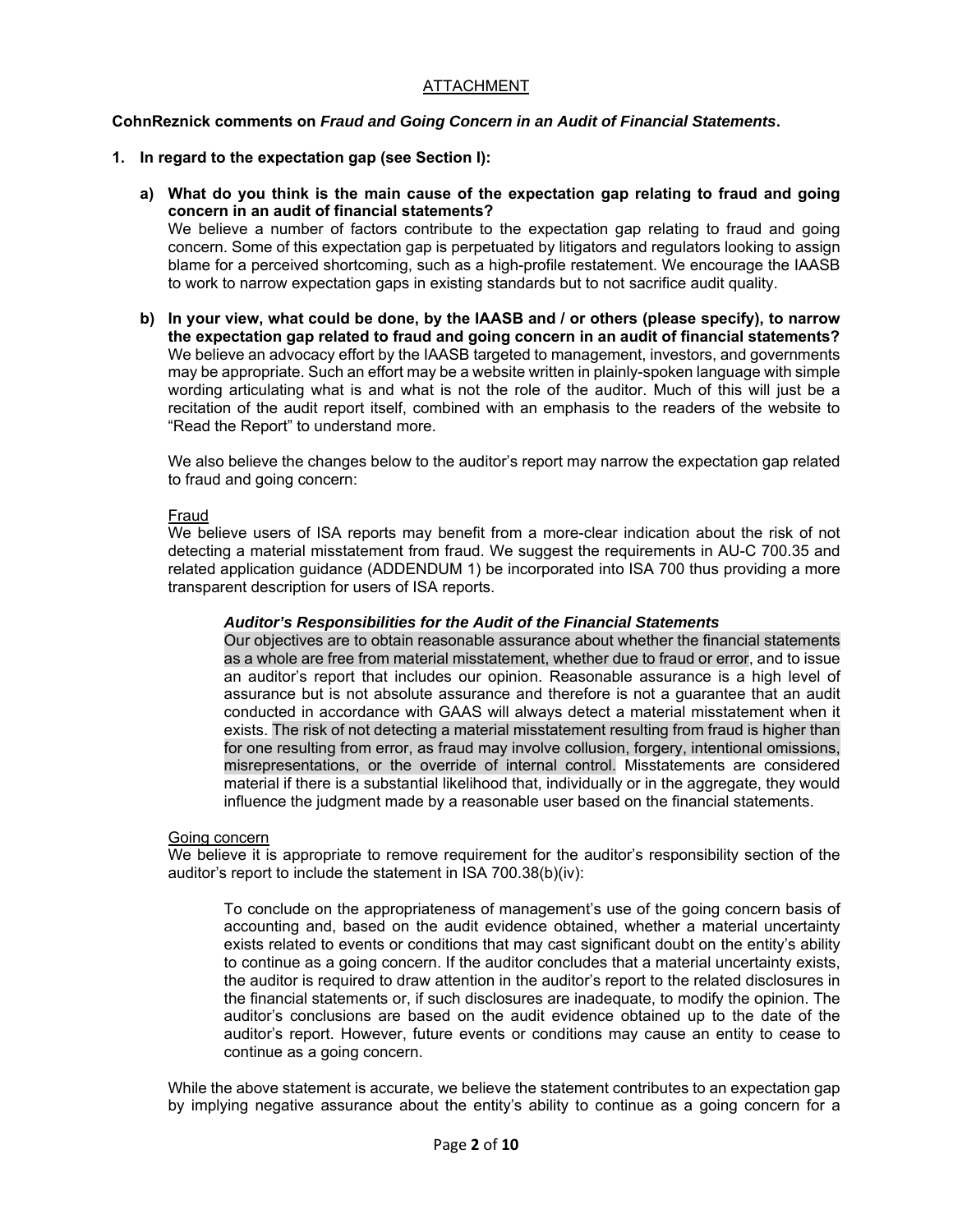# ATTACHMENT

# **CohnReznick comments on** *Fraud and Going Concern in an Audit of Financial Statements***.**

# **1. In regard to the expectation gap (see Section I):**

**a) What do you think is the main cause of the expectation gap relating to fraud and going concern in an audit of financial statements?**  We believe a number of factors contribute to the expectation gap relating to fraud and going concern. Some of this expectation gap is perpetuated by litigators and regulators looking to assign

blame for a perceived shortcoming, such as a high-profile restatement. We encourage the IAASB to work to narrow expectation gaps in existing standards but to not sacrifice audit quality.

**b) In your view, what could be done, by the IAASB and / or others (please specify), to narrow the expectation gap related to fraud and going concern in an audit of financial statements?**  We believe an advocacy effort by the IAASB targeted to management, investors, and governments may be appropriate. Such an effort may be a website written in plainly-spoken language with simple wording articulating what is and what is not the role of the auditor. Much of this will just be a recitation of the audit report itself, combined with an emphasis to the readers of the website to "Read the Report" to understand more.

We also believe the changes below to the auditor's report may narrow the expectation gap related to fraud and going concern:

# Fraud

We believe users of ISA reports may benefit from a more-clear indication about the risk of not detecting a material misstatement from fraud. We suggest the requirements in AU-C 700.35 and related application guidance (ADDENDUM 1) be incorporated into ISA 700 thus providing a more transparent description for users of ISA reports.

## *Auditor's Responsibilities for the Audit of the Financial Statements*

Our objectives are to obtain reasonable assurance about whether the financial statements as a whole are free from material misstatement, whether due to fraud or error, and to issue an auditor's report that includes our opinion. Reasonable assurance is a high level of assurance but is not absolute assurance and therefore is not a guarantee that an audit conducted in accordance with GAAS will always detect a material misstatement when it exists. The risk of not detecting a material misstatement resulting from fraud is higher than for one resulting from error, as fraud may involve collusion, forgery, intentional omissions, misrepresentations, or the override of internal control. Misstatements are considered material if there is a substantial likelihood that, individually or in the aggregate, they would influence the judgment made by a reasonable user based on the financial statements.

## Going concern

We believe it is appropriate to remove requirement for the auditor's responsibility section of the auditor's report to include the statement in ISA 700.38(b)(iv):

To conclude on the appropriateness of management's use of the going concern basis of accounting and, based on the audit evidence obtained, whether a material uncertainty exists related to events or conditions that may cast significant doubt on the entity's ability to continue as a going concern. If the auditor concludes that a material uncertainty exists, the auditor is required to draw attention in the auditor's report to the related disclosures in the financial statements or, if such disclosures are inadequate, to modify the opinion. The auditor's conclusions are based on the audit evidence obtained up to the date of the auditor's report. However, future events or conditions may cause an entity to cease to continue as a going concern.

While the above statement is accurate, we believe the statement contributes to an expectation gap by implying negative assurance about the entity's ability to continue as a going concern for a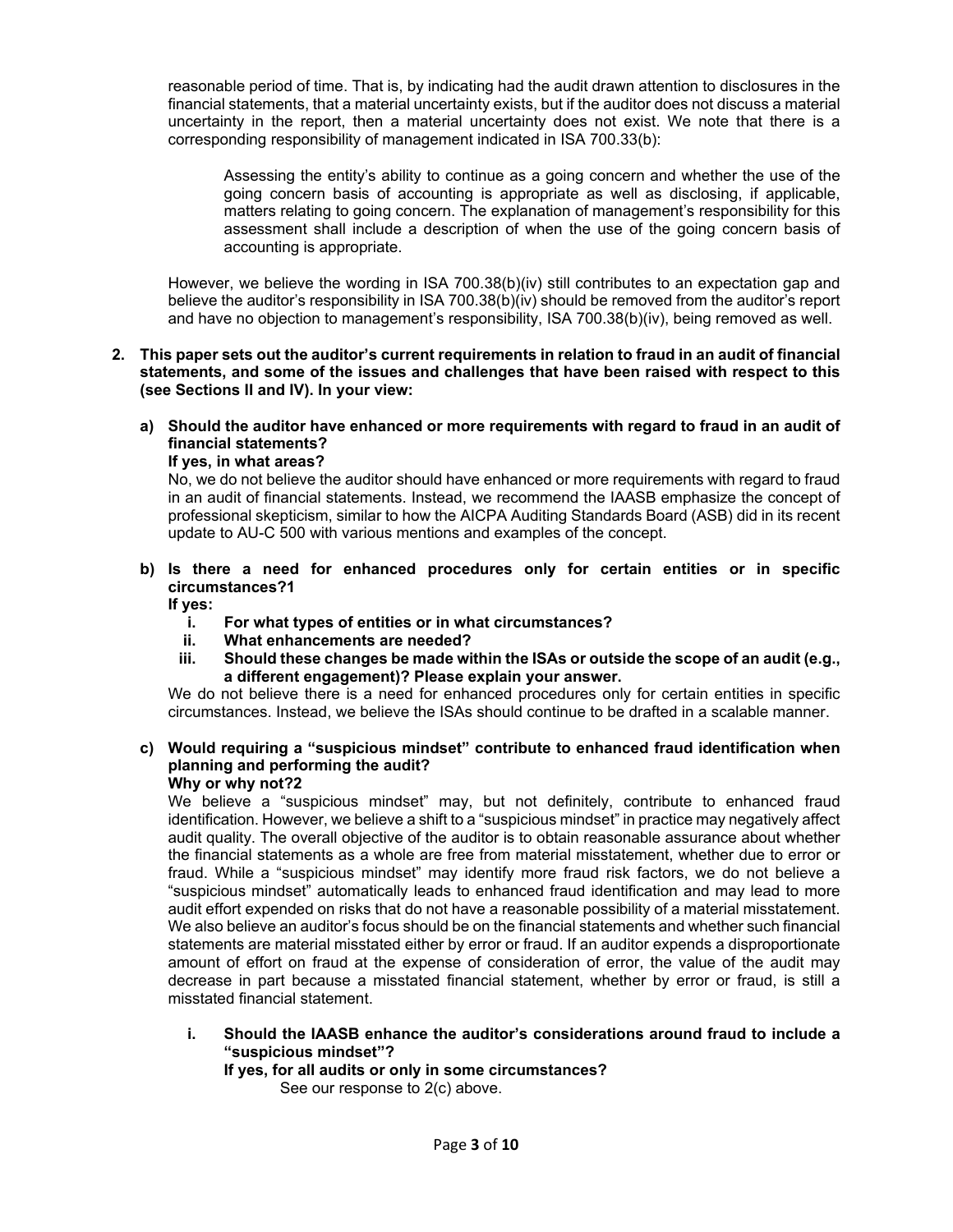reasonable period of time. That is, by indicating had the audit drawn attention to disclosures in the financial statements, that a material uncertainty exists, but if the auditor does not discuss a material uncertainty in the report, then a material uncertainty does not exist. We note that there is a corresponding responsibility of management indicated in ISA 700.33(b):

Assessing the entity's ability to continue as a going concern and whether the use of the going concern basis of accounting is appropriate as well as disclosing, if applicable, matters relating to going concern. The explanation of management's responsibility for this assessment shall include a description of when the use of the going concern basis of accounting is appropriate.

However, we believe the wording in ISA 700.38(b)(iv) still contributes to an expectation gap and believe the auditor's responsibility in ISA 700.38(b)(iv) should be removed from the auditor's report and have no objection to management's responsibility, ISA 700.38(b)(iv), being removed as well.

- **2. This paper sets out the auditor's current requirements in relation to fraud in an audit of financial statements, and some of the issues and challenges that have been raised with respect to this (see Sections II and IV). In your view:** 
	- **a) Should the auditor have enhanced or more requirements with regard to fraud in an audit of financial statements?**

**If yes, in what areas?** 

No, we do not believe the auditor should have enhanced or more requirements with regard to fraud in an audit of financial statements. Instead, we recommend the IAASB emphasize the concept of professional skepticism, similar to how the AICPA Auditing Standards Board (ASB) did in its recent update to AU-C 500 with various mentions and examples of the concept.

**b) Is there a need for enhanced procedures only for certain entities or in specific circumstances?1** 

**If yes:** 

- **i. For what types of entities or in what circumstances?**
- **ii. What enhancements are needed?**
- **iii. Should these changes be made within the ISAs or outside the scope of an audit (e.g., a different engagement)? Please explain your answer.**

We do not believe there is a need for enhanced procedures only for certain entities in specific circumstances. Instead, we believe the ISAs should continue to be drafted in a scalable manner.

#### **c) Would requiring a "suspicious mindset" contribute to enhanced fraud identification when planning and performing the audit? Why or why not?2**

We believe a "suspicious mindset" may, but not definitely, contribute to enhanced fraud identification. However, we believe a shift to a "suspicious mindset" in practice may negatively affect audit quality. The overall objective of the auditor is to obtain reasonable assurance about whether the financial statements as a whole are free from material misstatement, whether due to error or fraud. While a "suspicious mindset" may identify more fraud risk factors, we do not believe a "suspicious mindset" automatically leads to enhanced fraud identification and may lead to more audit effort expended on risks that do not have a reasonable possibility of a material misstatement. We also believe an auditor's focus should be on the financial statements and whether such financial statements are material misstated either by error or fraud. If an auditor expends a disproportionate amount of effort on fraud at the expense of consideration of error, the value of the audit may decrease in part because a misstated financial statement, whether by error or fraud, is still a misstated financial statement.

# **i. Should the IAASB enhance the auditor's considerations around fraud to include a "suspicious mindset"?**

# **If yes, for all audits or only in some circumstances?**

See our response to 2(c) above.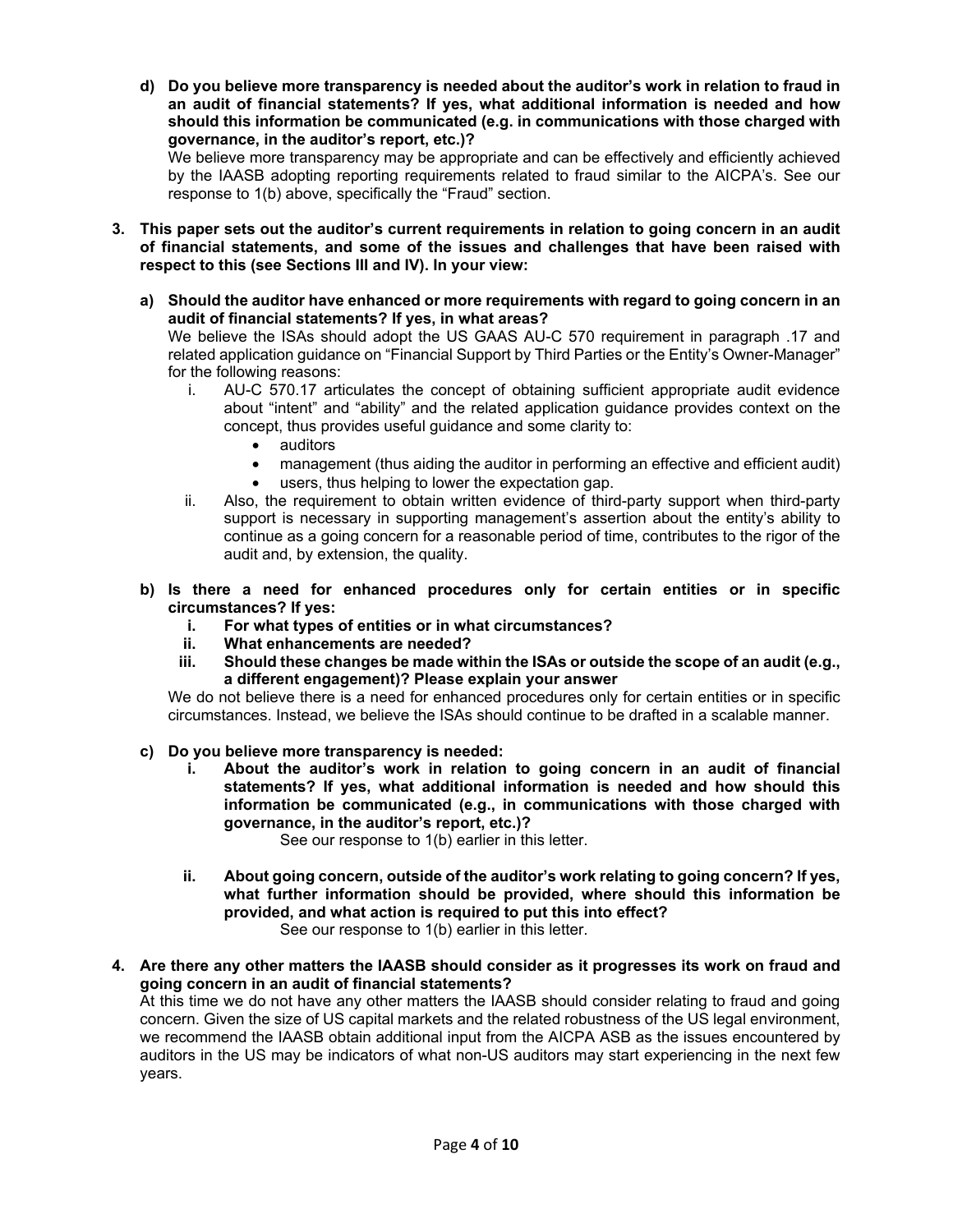**d) Do you believe more transparency is needed about the auditor's work in relation to fraud in an audit of financial statements? If yes, what additional information is needed and how should this information be communicated (e.g. in communications with those charged with governance, in the auditor's report, etc.)?** 

We believe more transparency may be appropriate and can be effectively and efficiently achieved by the IAASB adopting reporting requirements related to fraud similar to the AICPA's. See our response to 1(b) above, specifically the "Fraud" section.

- **3. This paper sets out the auditor's current requirements in relation to going concern in an audit of financial statements, and some of the issues and challenges that have been raised with respect to this (see Sections III and IV). In your view:** 
	- **a) Should the auditor have enhanced or more requirements with regard to going concern in an audit of financial statements? If yes, in what areas?**

We believe the ISAs should adopt the US GAAS AU-C 570 requirement in paragraph .17 and related application guidance on "Financial Support by Third Parties or the Entity's Owner-Manager" for the following reasons:

- i. AU-C 570.17 articulates the concept of obtaining sufficient appropriate audit evidence about "intent" and "ability" and the related application guidance provides context on the concept, thus provides useful guidance and some clarity to:
	- auditors
	- management (thus aiding the auditor in performing an effective and efficient audit)
	- users, thus helping to lower the expectation gap.
- ii. Also, the requirement to obtain written evidence of third-party support when third-party support is necessary in supporting management's assertion about the entity's ability to continue as a going concern for a reasonable period of time, contributes to the rigor of the audit and, by extension, the quality.
- **b) Is there a need for enhanced procedures only for certain entities or in specific circumstances? If yes:** 
	- **i. For what types of entities or in what circumstances?**
	- **ii. What enhancements are needed?**
	- **iii. Should these changes be made within the ISAs or outside the scope of an audit (e.g., a different engagement)? Please explain your answer**

We do not believe there is a need for enhanced procedures only for certain entities or in specific circumstances. Instead, we believe the ISAs should continue to be drafted in a scalable manner.

- **c) Do you believe more transparency is needed:** 
	- **i. About the auditor's work in relation to going concern in an audit of financial statements? If yes, what additional information is needed and how should this information be communicated (e.g., in communications with those charged with governance, in the auditor's report, etc.)?**

See our response to 1(b) earlier in this letter.

- **ii. About going concern, outside of the auditor's work relating to going concern? If yes, what further information should be provided, where should this information be provided, and what action is required to put this into effect?**  See our response to 1(b) earlier in this letter.
- **4. Are there any other matters the IAASB should consider as it progresses its work on fraud and going concern in an audit of financial statements?**

At this time we do not have any other matters the IAASB should consider relating to fraud and going concern. Given the size of US capital markets and the related robustness of the US legal environment, we recommend the IAASB obtain additional input from the AICPA ASB as the issues encountered by auditors in the US may be indicators of what non-US auditors may start experiencing in the next few years.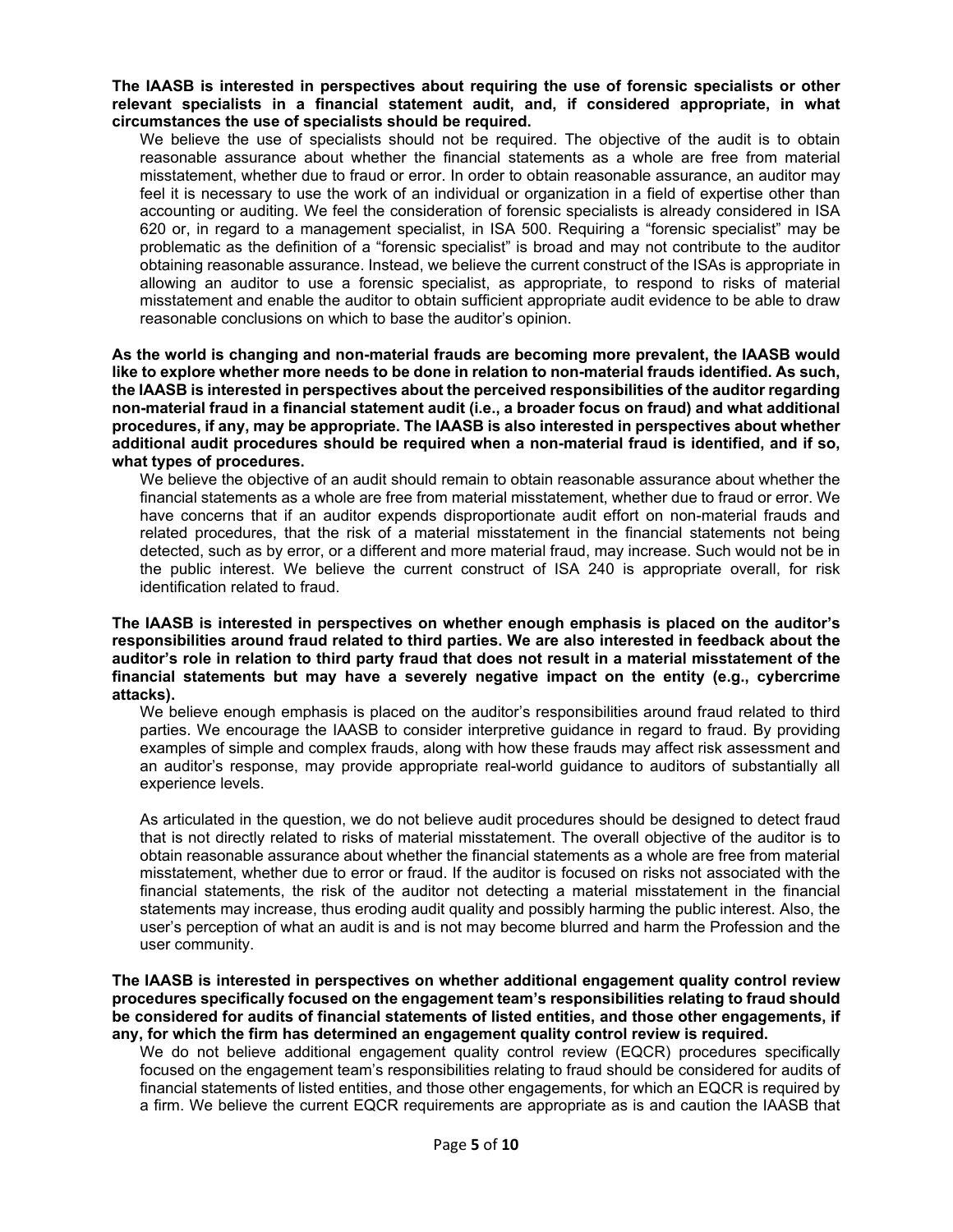**The IAASB is interested in perspectives about requiring the use of forensic specialists or other relevant specialists in a financial statement audit, and, if considered appropriate, in what circumstances the use of specialists should be required.** 

We believe the use of specialists should not be required. The objective of the audit is to obtain reasonable assurance about whether the financial statements as a whole are free from material misstatement, whether due to fraud or error. In order to obtain reasonable assurance, an auditor may feel it is necessary to use the work of an individual or organization in a field of expertise other than accounting or auditing. We feel the consideration of forensic specialists is already considered in ISA 620 or, in regard to a management specialist, in ISA 500. Requiring a "forensic specialist" may be problematic as the definition of a "forensic specialist" is broad and may not contribute to the auditor obtaining reasonable assurance. Instead, we believe the current construct of the ISAs is appropriate in allowing an auditor to use a forensic specialist, as appropriate, to respond to risks of material misstatement and enable the auditor to obtain sufficient appropriate audit evidence to be able to draw reasonable conclusions on which to base the auditor's opinion.

**As the world is changing and non-material frauds are becoming more prevalent, the IAASB would like to explore whether more needs to be done in relation to non-material frauds identified. As such, the IAASB is interested in perspectives about the perceived responsibilities of the auditor regarding non-material fraud in a financial statement audit (i.e., a broader focus on fraud) and what additional procedures, if any, may be appropriate. The IAASB is also interested in perspectives about whether additional audit procedures should be required when a non-material fraud is identified, and if so, what types of procedures.** 

We believe the objective of an audit should remain to obtain reasonable assurance about whether the financial statements as a whole are free from material misstatement, whether due to fraud or error. We have concerns that if an auditor expends disproportionate audit effort on non-material frauds and related procedures, that the risk of a material misstatement in the financial statements not being detected, such as by error, or a different and more material fraud, may increase. Such would not be in the public interest. We believe the current construct of ISA 240 is appropriate overall, for risk identification related to fraud.

## **The IAASB is interested in perspectives on whether enough emphasis is placed on the auditor's responsibilities around fraud related to third parties. We are also interested in feedback about the auditor's role in relation to third party fraud that does not result in a material misstatement of the financial statements but may have a severely negative impact on the entity (e.g., cybercrime attacks).**

We believe enough emphasis is placed on the auditor's responsibilities around fraud related to third parties. We encourage the IAASB to consider interpretive guidance in regard to fraud. By providing examples of simple and complex frauds, along with how these frauds may affect risk assessment and an auditor's response, may provide appropriate real-world guidance to auditors of substantially all experience levels.

As articulated in the question, we do not believe audit procedures should be designed to detect fraud that is not directly related to risks of material misstatement. The overall objective of the auditor is to obtain reasonable assurance about whether the financial statements as a whole are free from material misstatement, whether due to error or fraud. If the auditor is focused on risks not associated with the financial statements, the risk of the auditor not detecting a material misstatement in the financial statements may increase, thus eroding audit quality and possibly harming the public interest. Also, the user's perception of what an audit is and is not may become blurred and harm the Profession and the user community.

**The IAASB is interested in perspectives on whether additional engagement quality control review procedures specifically focused on the engagement team's responsibilities relating to fraud should be considered for audits of financial statements of listed entities, and those other engagements, if any, for which the firm has determined an engagement quality control review is required.** 

We do not believe additional engagement quality control review (EQCR) procedures specifically focused on the engagement team's responsibilities relating to fraud should be considered for audits of financial statements of listed entities, and those other engagements, for which an EQCR is required by a firm. We believe the current EQCR requirements are appropriate as is and caution the IAASB that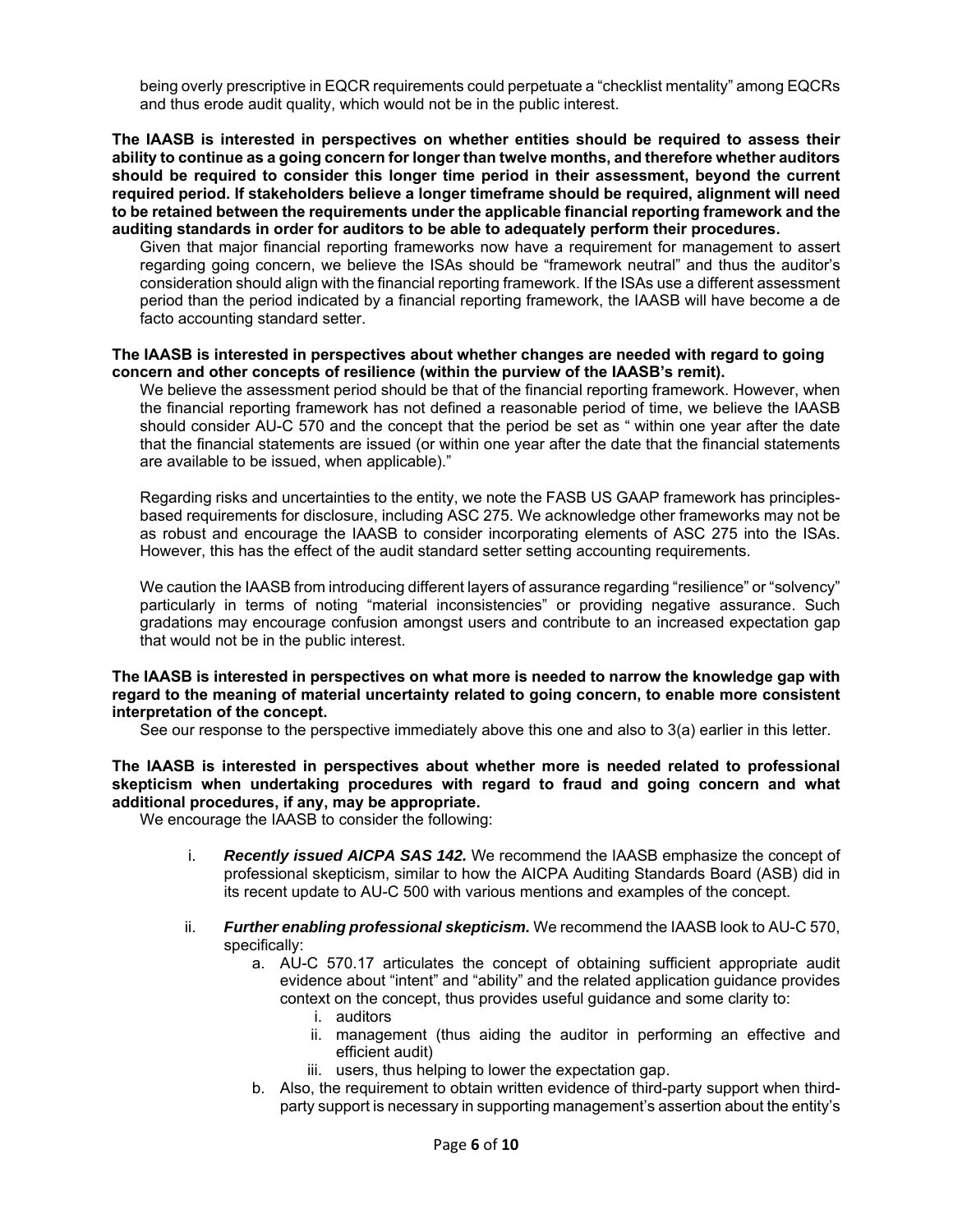being overly prescriptive in EQCR requirements could perpetuate a "checklist mentality" among EQCRs and thus erode audit quality, which would not be in the public interest.

#### **The IAASB is interested in perspectives on whether entities should be required to assess their ability to continue as a going concern for longer than twelve months, and therefore whether auditors should be required to consider this longer time period in their assessment, beyond the current required period. If stakeholders believe a longer timeframe should be required, alignment will need to be retained between the requirements under the applicable financial reporting framework and the auditing standards in order for auditors to be able to adequately perform their procedures.**

Given that major financial reporting frameworks now have a requirement for management to assert regarding going concern, we believe the ISAs should be "framework neutral" and thus the auditor's consideration should align with the financial reporting framework. If the ISAs use a different assessment period than the period indicated by a financial reporting framework, the IAASB will have become a de facto accounting standard setter.

#### **The IAASB is interested in perspectives about whether changes are needed with regard to going concern and other concepts of resilience (within the purview of the IAASB's remit).**

We believe the assessment period should be that of the financial reporting framework. However, when the financial reporting framework has not defined a reasonable period of time, we believe the IAASB should consider AU-C 570 and the concept that the period be set as " within one year after the date that the financial statements are issued (or within one year after the date that the financial statements are available to be issued, when applicable)."

Regarding risks and uncertainties to the entity, we note the FASB US GAAP framework has principlesbased requirements for disclosure, including ASC 275. We acknowledge other frameworks may not be as robust and encourage the IAASB to consider incorporating elements of ASC 275 into the ISAs. However, this has the effect of the audit standard setter setting accounting requirements.

We caution the IAASB from introducing different layers of assurance regarding "resilience" or "solvency" particularly in terms of noting "material inconsistencies" or providing negative assurance. Such gradations may encourage confusion amongst users and contribute to an increased expectation gap that would not be in the public interest.

## **The IAASB is interested in perspectives on what more is needed to narrow the knowledge gap with regard to the meaning of material uncertainty related to going concern, to enable more consistent interpretation of the concept.**

See our response to the perspective immediately above this one and also to 3(a) earlier in this letter.

**The IAASB is interested in perspectives about whether more is needed related to professional skepticism when undertaking procedures with regard to fraud and going concern and what additional procedures, if any, may be appropriate.** 

We encourage the IAASB to consider the following:

- i. *Recently issued AICPA SAS 142.* We recommend the IAASB emphasize the concept of professional skepticism, similar to how the AICPA Auditing Standards Board (ASB) did in its recent update to AU-C 500 with various mentions and examples of the concept.
- ii. *Further enabling professional skepticism.* We recommend the IAASB look to AU-C 570, specifically:
	- a. AU-C 570.17 articulates the concept of obtaining sufficient appropriate audit evidence about "intent" and "ability" and the related application guidance provides context on the concept, thus provides useful guidance and some clarity to:
		- i. auditors
		- ii. management (thus aiding the auditor in performing an effective and efficient audit)
		- iii. users, thus helping to lower the expectation gap.
	- b. Also, the requirement to obtain written evidence of third-party support when thirdparty support is necessary in supporting management's assertion about the entity's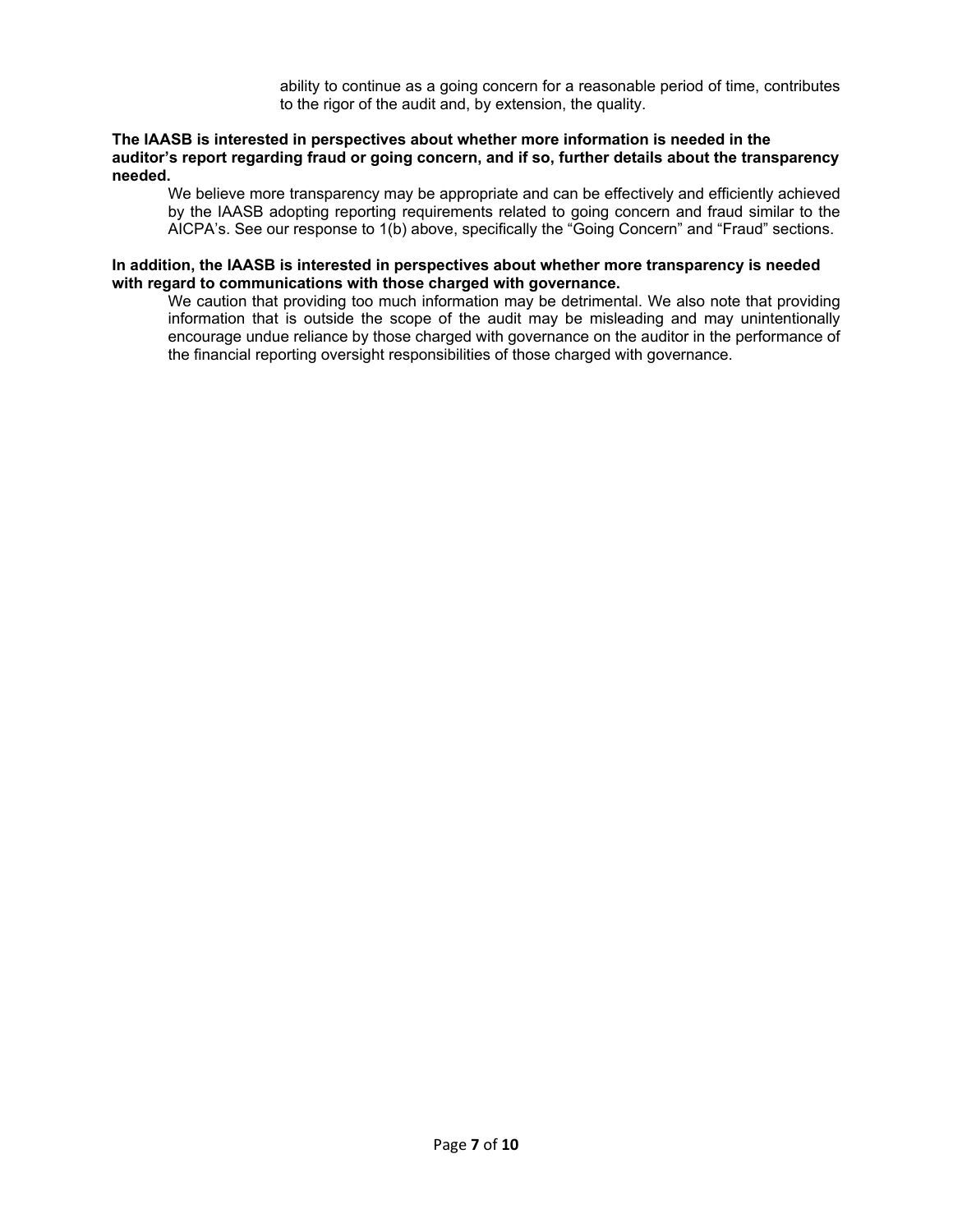ability to continue as a going concern for a reasonable period of time, contributes to the rigor of the audit and, by extension, the quality.

#### **The IAASB is interested in perspectives about whether more information is needed in the auditor's report regarding fraud or going concern, and if so, further details about the transparency needed.**

We believe more transparency may be appropriate and can be effectively and efficiently achieved by the IAASB adopting reporting requirements related to going concern and fraud similar to the AICPA's. See our response to 1(b) above, specifically the "Going Concern" and "Fraud" sections.

## **In addition, the IAASB is interested in perspectives about whether more transparency is needed with regard to communications with those charged with governance.**

We caution that providing too much information may be detrimental. We also note that providing information that is outside the scope of the audit may be misleading and may unintentionally encourage undue reliance by those charged with governance on the auditor in the performance of the financial reporting oversight responsibilities of those charged with governance.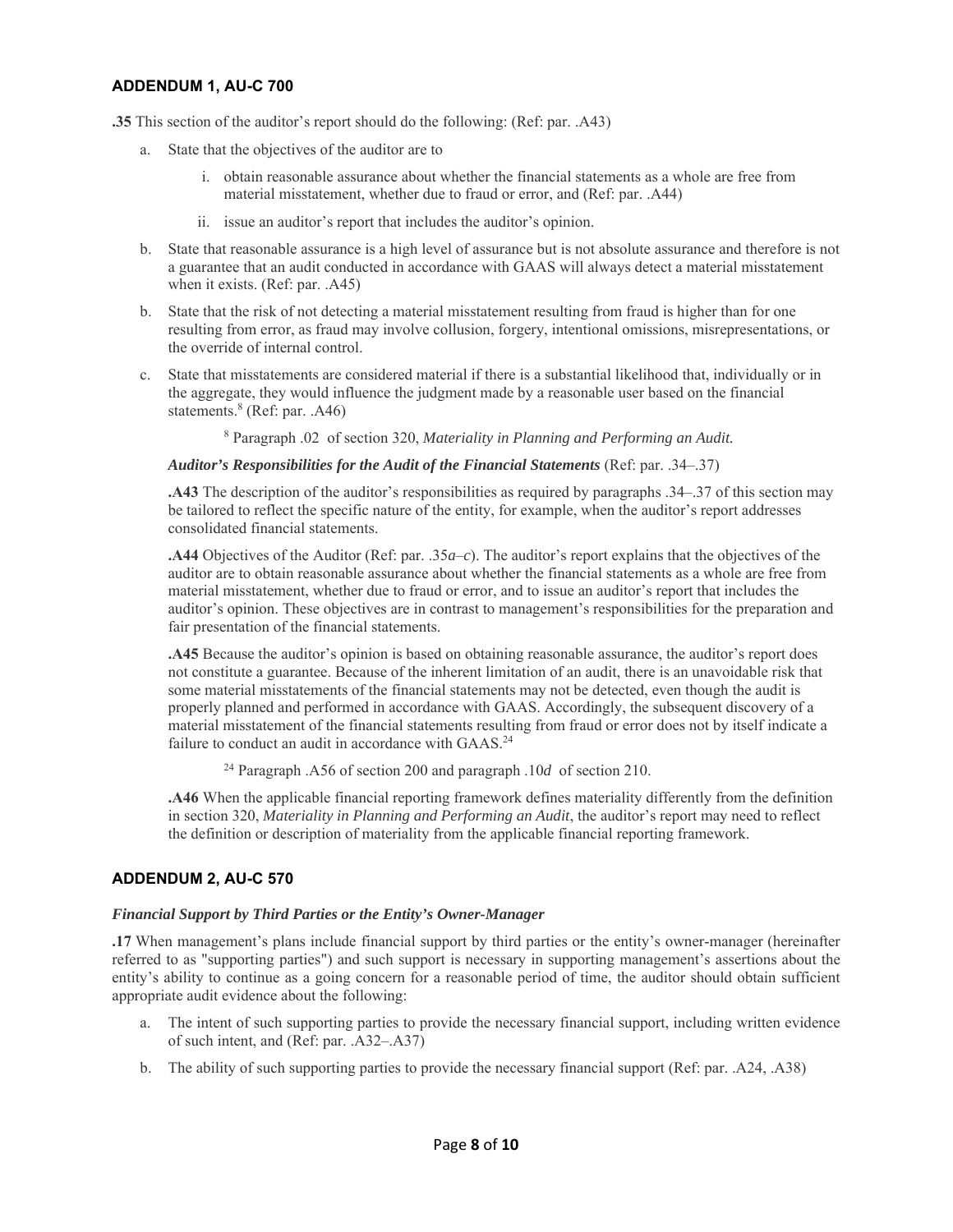# **ADDENDUM 1, AU-C 700**

**.35** This section of the auditor's report should do the following: (Ref: par. .A43)

- a. State that the objectives of the auditor are to
	- i. obtain reasonable assurance about whether the financial statements as a whole are free from material misstatement, whether due to fraud or error, and (Ref: par. .A44)
	- ii. issue an auditor's report that includes the auditor's opinion.
- b. State that reasonable assurance is a high level of assurance but is not absolute assurance and therefore is not a guarantee that an audit conducted in accordance with GAAS will always detect a material misstatement when it exists. (Ref: par. .A45)
- b. State that the risk of not detecting a material misstatement resulting from fraud is higher than for one resulting from error, as fraud may involve collusion, forgery, intentional omissions, misrepresentations, or the override of internal control.
- c. State that misstatements are considered material if there is a substantial likelihood that, individually or in the aggregate, they would influence the judgment made by a reasonable user based on the financial statements.<sup>8</sup> (Ref: par. .A46)

8 Paragraph .02 of section 320, *Materiality in Planning and Performing an Audit.*

#### *Auditor's Responsibilities for the Audit of the Financial Statements* (Ref: par. .34–.37)

**.A43** The description of the auditor's responsibilities as required by paragraphs .34–.37 of this section may be tailored to reflect the specific nature of the entity, for example, when the auditor's report addresses consolidated financial statements.

**.A44** Objectives of the Auditor (Ref: par. .35*a*–*c*). The auditor's report explains that the objectives of the auditor are to obtain reasonable assurance about whether the financial statements as a whole are free from material misstatement, whether due to fraud or error, and to issue an auditor's report that includes the auditor's opinion. These objectives are in contrast to management's responsibilities for the preparation and fair presentation of the financial statements.

**.A45** Because the auditor's opinion is based on obtaining reasonable assurance, the auditor's report does not constitute a guarantee. Because of the inherent limitation of an audit, there is an unavoidable risk that some material misstatements of the financial statements may not be detected, even though the audit is properly planned and performed in accordance with GAAS. Accordingly, the subsequent discovery of a material misstatement of the financial statements resulting from fraud or error does not by itself indicate a failure to conduct an audit in accordance with GAAS.<sup>24</sup>

24 Paragraph .A56 of section 200 and paragraph .10*d* of section 210.

**.A46** When the applicable financial reporting framework defines materiality differently from the definition in section 320, *Materiality in Planning and Performing an Audit*, the auditor's report may need to reflect the definition or description of materiality from the applicable financial reporting framework.

## **ADDENDUM 2, AU-C 570**

#### *Financial Support by Third Parties or the Entity's Owner-Manager*

**.17** When management's plans include financial support by third parties or the entity's owner-manager (hereinafter referred to as "supporting parties") and such support is necessary in supporting management's assertions about the entity's ability to continue as a going concern for a reasonable period of time, the auditor should obtain sufficient appropriate audit evidence about the following:

- a. The intent of such supporting parties to provide the necessary financial support, including written evidence of such intent, and (Ref: par. .A32–.A37)
- b. The ability of such supporting parties to provide the necessary financial support (Ref: par. .A24, .A38)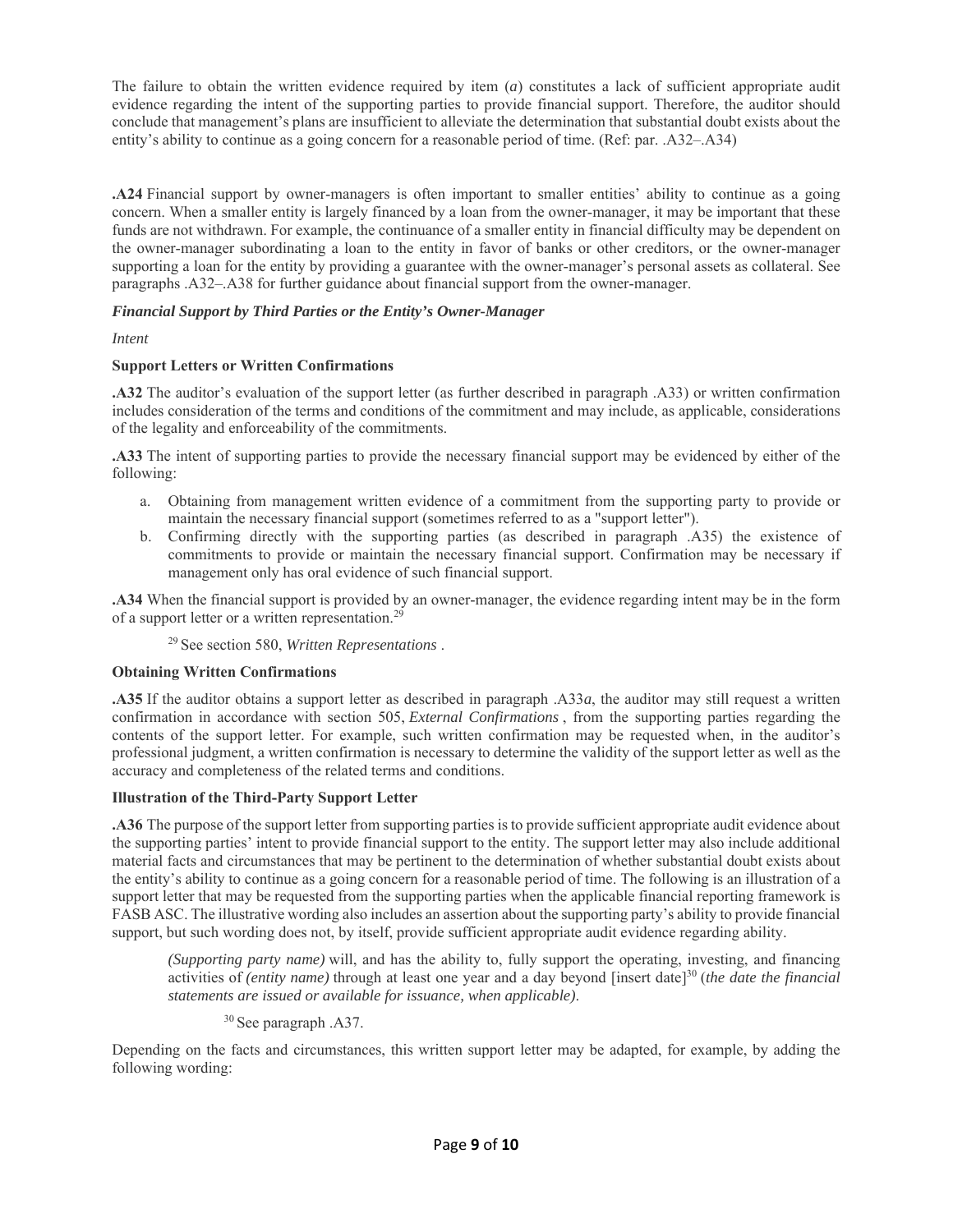The failure to obtain the written evidence required by item (*a*) constitutes a lack of sufficient appropriate audit evidence regarding the intent of the supporting parties to provide financial support. Therefore, the auditor should conclude that management's plans are insufficient to alleviate the determination that substantial doubt exists about the entity's ability to continue as a going concern for a reasonable period of time. (Ref: par. .A32–.A34)

**.A24** Financial support by owner-managers is often important to smaller entities' ability to continue as a going concern. When a smaller entity is largely financed by a loan from the owner-manager, it may be important that these funds are not withdrawn. For example, the continuance of a smaller entity in financial difficulty may be dependent on the owner-manager subordinating a loan to the entity in favor of banks or other creditors, or the owner-manager supporting a loan for the entity by providing a guarantee with the owner-manager's personal assets as collateral. See paragraphs .A32–.A38 for further guidance about financial support from the owner-manager.

# *Financial Support by Third Parties or the Entity's Owner-Manager*

# *Intent*

# **Support Letters or Written Confirmations**

**.A32** The auditor's evaluation of the support letter (as further described in paragraph .A33) or written confirmation includes consideration of the terms and conditions of the commitment and may include, as applicable, considerations of the legality and enforceability of the commitments.

**.A33** The intent of supporting parties to provide the necessary financial support may be evidenced by either of the following:

- a. Obtaining from management written evidence of a commitment from the supporting party to provide or maintain the necessary financial support (sometimes referred to as a "support letter").
- b. Confirming directly with the supporting parties (as described in paragraph .A35) the existence of commitments to provide or maintain the necessary financial support. Confirmation may be necessary if management only has oral evidence of such financial support.

**.A34** When the financial support is provided by an owner-manager, the evidence regarding intent may be in the form of a support letter or a written representation.<sup>29</sup>

29 See section 580, *Written Representations* .

## **Obtaining Written Confirmations**

**.A35** If the auditor obtains a support letter as described in paragraph .A33*a*, the auditor may still request a written confirmation in accordance with section 505, *External Confirmations* , from the supporting parties regarding the contents of the support letter. For example, such written confirmation may be requested when, in the auditor's professional judgment, a written confirmation is necessary to determine the validity of the support letter as well as the accuracy and completeness of the related terms and conditions.

## **Illustration of the Third-Party Support Letter**

**.A36** The purpose of the support letter from supporting parties is to provide sufficient appropriate audit evidence about the supporting parties' intent to provide financial support to the entity. The support letter may also include additional material facts and circumstances that may be pertinent to the determination of whether substantial doubt exists about the entity's ability to continue as a going concern for a reasonable period of time. The following is an illustration of a support letter that may be requested from the supporting parties when the applicable financial reporting framework is FASB ASC. The illustrative wording also includes an assertion about the supporting party's ability to provide financial support, but such wording does not, by itself, provide sufficient appropriate audit evidence regarding ability.

*(Supporting party name)* will, and has the ability to, fully support the operating, investing, and financing activities of *(entity name)* through at least one year and a day beyond [insert date]<sup>30</sup> (*the date the financial statements are issued or available for issuance, when applicable)*.

# 30 See paragraph .A37.

Depending on the facts and circumstances, this written support letter may be adapted, for example, by adding the following wording: